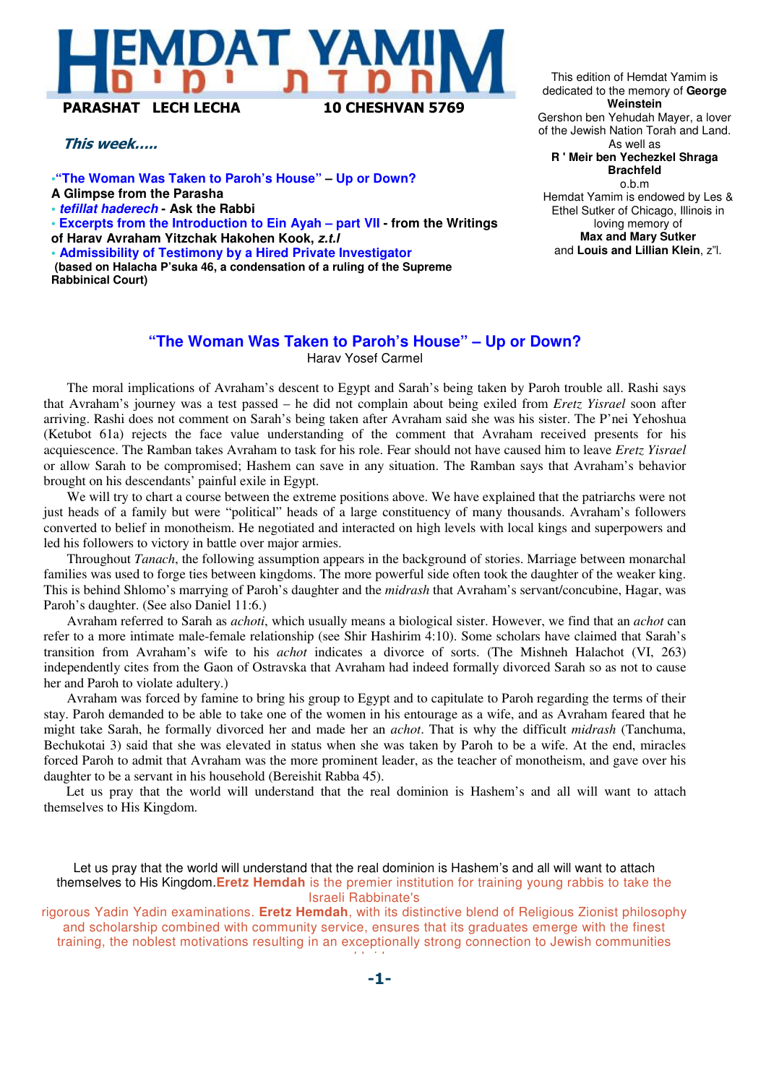## DAT YAN PARASHAT LECH LECHA 10 CHESHVAN 5769

#### This week…..

**•"The Woman Was Taken to Paroh's House" – Up or Down? A Glimpse from the Parasha • tefillat haderech - Ask the Rabbi • Excerpts from the Introduction to Ein Ayah – part VII - from the Writings of Harav Avraham Yitzchak Hakohen Kook, z.t.l** 

**• Admissibility of Testimony by a Hired Private Investigator (based on Halacha P'suka 46, a condensation of a ruling of the Supreme Rabbinical Court)**

This edition of Hemdat Yamim is dedicated to the memory of **George Weinstein** Gershon ben Yehudah Mayer, a lover of the Jewish Nation Torah and Land. As well as **R ' Meir ben Yechezkel Shraga Brachfeld** o.b.m Hemdat Yamim is endowed by Les & Ethel Sutker of Chicago, Illinois in loving memory of **Max and Mary Sutker**

and **Louis and Lillian Klein**, z"l.

#### **"The Woman Was Taken to Paroh's House" – Up or Down?**

Harav Yosef Carmel

The moral implications of Avraham's descent to Egypt and Sarah's being taken by Paroh trouble all. Rashi says that Avraham's journey was a test passed – he did not complain about being exiled from *Eretz Yisrael* soon after arriving. Rashi does not comment on Sarah's being taken after Avraham said she was his sister. The P'nei Yehoshua (Ketubot 61a) rejects the face value understanding of the comment that Avraham received presents for his acquiescence. The Ramban takes Avraham to task for his role. Fear should not have caused him to leave *Eretz Yisrael*  or allow Sarah to be compromised; Hashem can save in any situation. The Ramban says that Avraham's behavior brought on his descendants' painful exile in Egypt.

We will try to chart a course between the extreme positions above. We have explained that the patriarchs were not just heads of a family but were "political" heads of a large constituency of many thousands. Avraham's followers converted to belief in monotheism. He negotiated and interacted on high levels with local kings and superpowers and led his followers to victory in battle over major armies.

Throughout *Tanach*, the following assumption appears in the background of stories. Marriage between monarchal families was used to forge ties between kingdoms. The more powerful side often took the daughter of the weaker king. This is behind Shlomo's marrying of Paroh's daughter and the *midrash* that Avraham's servant/concubine, Hagar, was Paroh's daughter. (See also Daniel 11:6.)

Avraham referred to Sarah as *achoti*, which usually means a biological sister. However, we find that an *achot* can refer to a more intimate male-female relationship (see Shir Hashirim 4:10). Some scholars have claimed that Sarah's transition from Avraham's wife to his *achot* indicates a divorce of sorts. (The Mishneh Halachot (VI, 263) independently cites from the Gaon of Ostravska that Avraham had indeed formally divorced Sarah so as not to cause her and Paroh to violate adultery.)

Avraham was forced by famine to bring his group to Egypt and to capitulate to Paroh regarding the terms of their stay. Paroh demanded to be able to take one of the women in his entourage as a wife, and as Avraham feared that he might take Sarah, he formally divorced her and made her an *achot*. That is why the difficult *midrash* (Tanchuma, Bechukotai 3) said that she was elevated in status when she was taken by Paroh to be a wife. At the end, miracles forced Paroh to admit that Avraham was the more prominent leader, as the teacher of monotheism, and gave over his daughter to be a servant in his household (Bereishit Rabba 45).

Let us pray that the world will understand that the real dominion is Hashem's and all will want to attach themselves to His Kingdom.

Let us pray that the world will understand that the real dominion is Hashem's and all will want to attach themselves to His Kingdom.**Eretz Hemdah** is the premier institution for training young rabbis to take the Israeli Rabbinate's

rigorous Yadin Yadin examinations. **Eretz Hemdah**, with its distinctive blend of Religious Zionist philosophy and scholarship combined with community service, ensures that its graduates emerge with the finest training, the noblest motivations resulting in an exceptionally strong connection to Jewish communities

worldwide.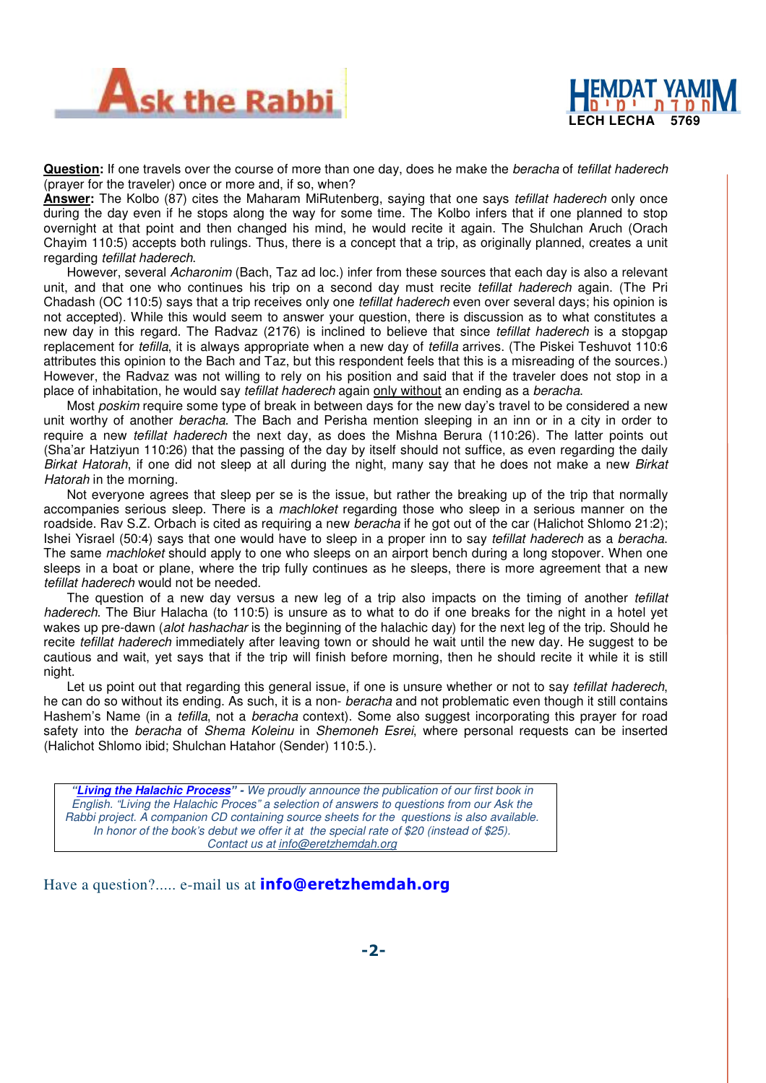



**Question:** If one travels over the course of more than one day, does he make the beracha of tefillat haderech (prayer for the traveler) once or more and, if so, when?

**Answer:** The Kolbo (87) cites the Maharam MiRutenberg, saying that one says tefillat haderech only once during the day even if he stops along the way for some time. The Kolbo infers that if one planned to stop overnight at that point and then changed his mind, he would recite it again. The Shulchan Aruch (Orach Chayim 110:5) accepts both rulings. Thus, there is a concept that a trip, as originally planned, creates a unit regarding tefillat haderech.

However, several Acharonim (Bach, Taz ad loc.) infer from these sources that each day is also a relevant unit, and that one who continues his trip on a second day must recite tefillat haderech again. (The Pri Chadash (OC 110:5) says that a trip receives only one *tefillat haderech* even over several days; his opinion is not accepted). While this would seem to answer your question, there is discussion as to what constitutes a new day in this regard. The Radvaz (2176) is inclined to believe that since *tefillat haderech* is a stopgap replacement for *tefilla*, it is always appropriate when a new day of *tefilla* arrives. (The Piskei Teshuvot 110:6) attributes this opinion to the Bach and Taz, but this respondent feels that this is a misreading of the sources.) However, the Radvaz was not willing to rely on his position and said that if the traveler does not stop in a place of inhabitation, he would say *tefillat haderech* again only without an ending as a beracha.

Most poskim require some type of break in between days for the new day's travel to be considered a new unit worthy of another beracha. The Bach and Perisha mention sleeping in an inn or in a city in order to require a new *tefillat haderech* the next day, as does the Mishna Berura (110:26). The latter points out (Sha'ar Hatziyun 110:26) that the passing of the day by itself should not suffice, as even regarding the daily Birkat Hatorah, if one did not sleep at all during the night, many say that he does not make a new Birkat Hatorah in the morning.

Not everyone agrees that sleep per se is the issue, but rather the breaking up of the trip that normally accompanies serious sleep. There is a *machloket* regarding those who sleep in a serious manner on the roadside. Rav S.Z. Orbach is cited as requiring a new *beracha* if he got out of the car (Halichot Shlomo 21:2); Ishei Yisrael (50:4) says that one would have to sleep in a proper inn to say tefillat haderech as a beracha. The same machloket should apply to one who sleeps on an airport bench during a long stopover. When one sleeps in a boat or plane, where the trip fully continues as he sleeps, there is more agreement that a new tefillat haderech would not be needed.

The question of a new day versus a new leg of a trip also impacts on the timing of another tefillat haderech. The Biur Halacha (to 110:5) is unsure as to what to do if one breaks for the night in a hotel yet wakes up pre-dawn (alot hashachar is the beginning of the halachic day) for the next leg of the trip. Should he recite *tefillat haderech* immediately after leaving town or should he wait until the new day. He suggest to be cautious and wait, yet says that if the trip will finish before morning, then he should recite it while it is still night.

Let us point out that regarding this general issue, if one is unsure whether or not to say *tefillat haderech*, he can do so without its ending. As such, it is a non- beracha and not problematic even though it still contains Hashem's Name (in a *tefilla*, not a *beracha* context). Some also suggest incorporating this prayer for road safety into the beracha of Shema Koleinu in Shemoneh Esrei, where personal requests can be inserted (Halichot Shlomo ibid; Shulchan Hatahor (Sender) 110:5.).

**"Living the Halachic Process**" **-** We proudly announce the publication of our first book in English. "Living the Halachic Proces" a selection of answers to questions from our Ask the Rabbi project. A companion CD containing source sheets for the questions is also available. In honor of the book's debut we offer it at the special rate of \$20 (instead of \$25). Contact us at info@eretzhemdah.org

Have a question?..... e-mail us at **info@eretzhemdah.org**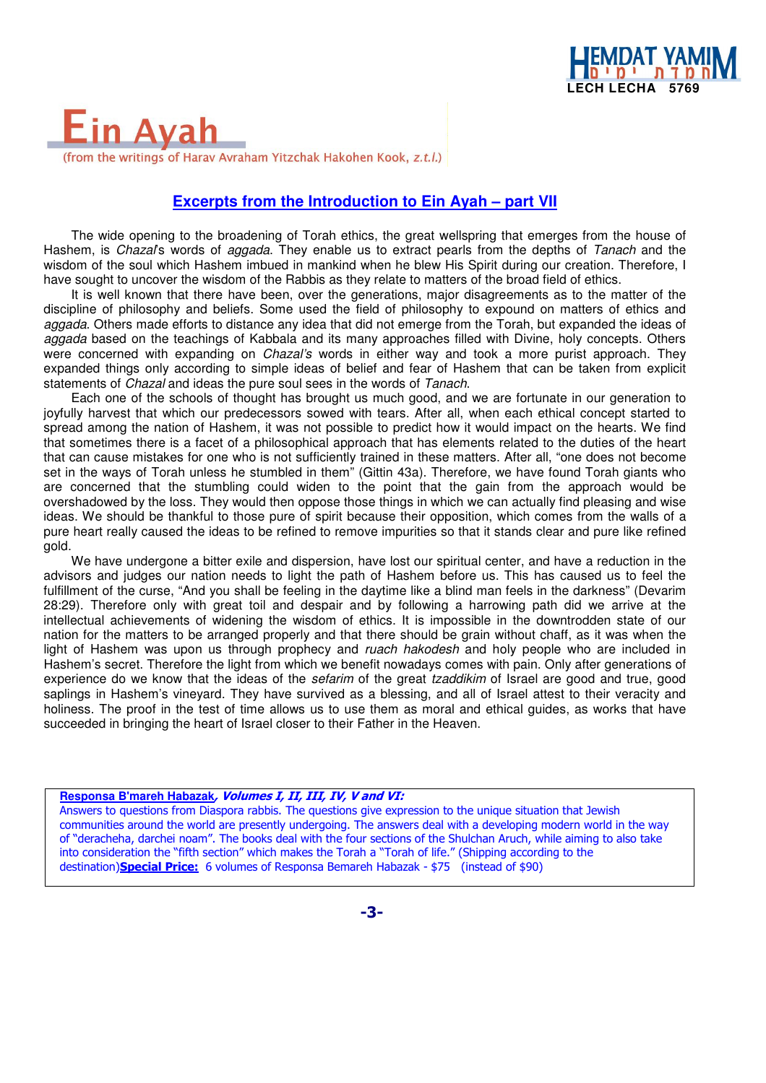

### Ein Ava (from the writings of Harav Avraham Yitzchak Hakohen Kook, z.t.l.)

#### **Excerpts from the Introduction to Ein Ayah – part VII**

The wide opening to the broadening of Torah ethics, the great wellspring that emerges from the house of Hashem, is Chazal's words of aggada. They enable us to extract pearls from the depths of Tanach and the wisdom of the soul which Hashem imbued in mankind when he blew His Spirit during our creation. Therefore, I have sought to uncover the wisdom of the Rabbis as they relate to matters of the broad field of ethics.

It is well known that there have been, over the generations, major disagreements as to the matter of the discipline of philosophy and beliefs. Some used the field of philosophy to expound on matters of ethics and aggada. Others made efforts to distance any idea that did not emerge from the Torah, but expanded the ideas of aggada based on the teachings of Kabbala and its many approaches filled with Divine, holy concepts. Others were concerned with expanding on *Chazal's* words in either way and took a more purist approach. They expanded things only according to simple ideas of belief and fear of Hashem that can be taken from explicit statements of *Chazal* and ideas the pure soul sees in the words of Tanach.

Each one of the schools of thought has brought us much good, and we are fortunate in our generation to joyfully harvest that which our predecessors sowed with tears. After all, when each ethical concept started to spread among the nation of Hashem, it was not possible to predict how it would impact on the hearts. We find that sometimes there is a facet of a philosophical approach that has elements related to the duties of the heart that can cause mistakes for one who is not sufficiently trained in these matters. After all, "one does not become set in the ways of Torah unless he stumbled in them" (Gittin 43a). Therefore, we have found Torah giants who are concerned that the stumbling could widen to the point that the gain from the approach would be overshadowed by the loss. They would then oppose those things in which we can actually find pleasing and wise ideas. We should be thankful to those pure of spirit because their opposition, which comes from the walls of a pure heart really caused the ideas to be refined to remove impurities so that it stands clear and pure like refined gold.

We have undergone a bitter exile and dispersion, have lost our spiritual center, and have a reduction in the advisors and judges our nation needs to light the path of Hashem before us. This has caused us to feel the fulfillment of the curse, "And you shall be feeling in the daytime like a blind man feels in the darkness" (Devarim 28:29). Therefore only with great toil and despair and by following a harrowing path did we arrive at the intellectual achievements of widening the wisdom of ethics. It is impossible in the downtrodden state of our nation for the matters to be arranged properly and that there should be grain without chaff, as it was when the light of Hashem was upon us through prophecy and *ruach hakodesh* and holy people who are included in Hashem's secret. Therefore the light from which we benefit nowadays comes with pain. Only after generations of experience do we know that the ideas of the *sefarim* of the great *tzaddikim* of Israel are good and true, good saplings in Hashem's vineyard. They have survived as a blessing, and all of Israel attest to their veracity and holiness. The proof in the test of time allows us to use them as moral and ethical guides, as works that have succeeded in bringing the heart of Israel closer to their Father in the Heaven.

#### **Responsa B'mareh Habazak**, Volumes I, II, III, IV, V and VI:

Answers to questions from Diaspora rabbis. The questions give expression to the unique situation that Jewish communities around the world are presently undergoing. The answers deal with a developing modern world in the way of "deracheha, darchei noam". The books deal with the four sections of the Shulchan Aruch, while aiming to also take into consideration the "fifth section" which makes the Torah a "Torah of life." (Shipping according to the destination)Special Price: 6 volumes of Responsa Bemareh Habazak - \$75 (instead of \$90)